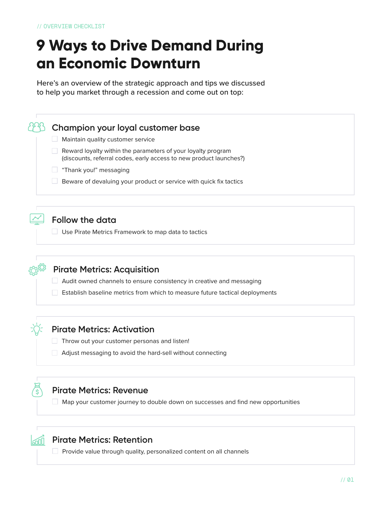# **9 Ways to Drive Demand During an Economic Downturn**

Here's an overview of the strategic approach and tips we discussed to help you market through a recession and come out on top:

#### **Champion your loyal customer base**

- $\Box$  Maintain quality customer service
- Reward loyalty within the parameters of your loyalty program (discounts, referral codes, early access to new product launches?)
- $\Box$  "Thank you!" messaging
- $\Box$  Beware of devaluing your product or service with quick fix tactics

## **Follow the data**

□ Use Pirate Metrics Framework to map data to tactics



#### **Pirate Metrics: Acquisition**

- **Audit owned channels to ensure consistency in creative and messaging**
- $\Box$  Establish baseline metrics from which to measure future tactical deployments

#### **Pirate Metrics: Activation**

- $\Box$  Throw out your customer personas and listen!
- Adjust messaging to avoid the hard-sell without connecting

## **Pirate Metrics: Revenue**

 $\Box$  Map your customer journey to double down on successes and find new opportunities

#### **Pirate Metrics: Retention**

 $\Box$  Provide value through quality, personalized content on all channels